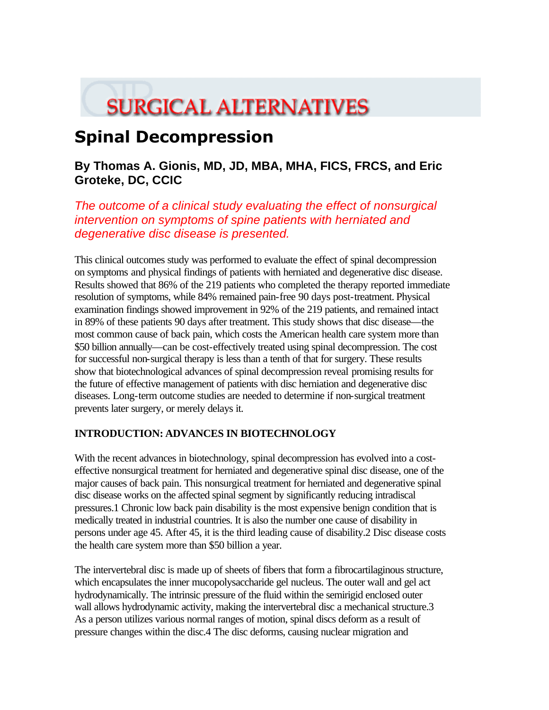# **SURGICAL ALTERNATIVES**

# **Spinal Decompression**

# **By Thomas A. Gionis, MD, JD, MBA, MHA, FICS, FRCS, and Eric Groteke, DC, CCIC**

*The outcome of a clinical study evaluating the effect of nonsurgical intervention on symptoms of spine patients with herniated and degenerative disc disease is presented.*

This clinical outcomes study was performed to evaluate the effect of spinal decompression on symptoms and physical findings of patients with herniated and degenerative disc disease. Results showed that 86% of the 219 patients who completed the therapy reported immediate resolution of symptoms, while 84% remained pain-free 90 days post-treatment. Physical examination findings showed improvement in 92% of the 219 patients, and remained intact in 89% of these patients 90 days after treatment. This study shows that disc disease—the most common cause of back pain, which costs the American health care system more than \$50 billion annually—can be cost-effectively treated using spinal decompression. The cost for successful non-surgical therapy is less than a tenth of that for surgery. These results show that biotechnological advances of spinal decompression reveal promising results for the future of effective management of patients with disc herniation and degenerative disc diseases. Long-term outcome studies are needed to determine if non-surgical treatment prevents later surgery, or merely delays it.

# **INTRODUCTION: ADVANCES IN BIOTECHNOLOGY**

With the recent advances in biotechnology, spinal decompression has evolved into a costeffective nonsurgical treatment for herniated and degenerative spinal disc disease, one of the major causes of back pain. This nonsurgical treatment for herniated and degenerative spinal disc disease works on the affected spinal segment by significantly reducing intradiscal pressures.1 Chronic low back pain disability is the most expensive benign condition that is medically treated in industrial countries. It is also the number one cause of disability in persons under age 45. After 45, it is the third leading cause of disability.2 Disc disease costs the health care system more than \$50 billion a year.

The intervertebral disc is made up of sheets of fibers that form a fibrocartilaginous structure, which encapsulates the inner mucopolysaccharide gel nucleus. The outer wall and gel act hydrodynamically. The intrinsic pressure of the fluid within the semirigid enclosed outer wall allows hydrodynamic activity, making the intervertebral disc a mechanical structure.3 As a person utilizes various normal ranges of motion, spinal discs deform as a result of pressure changes within the disc.4 The disc deforms, causing nuclear migration and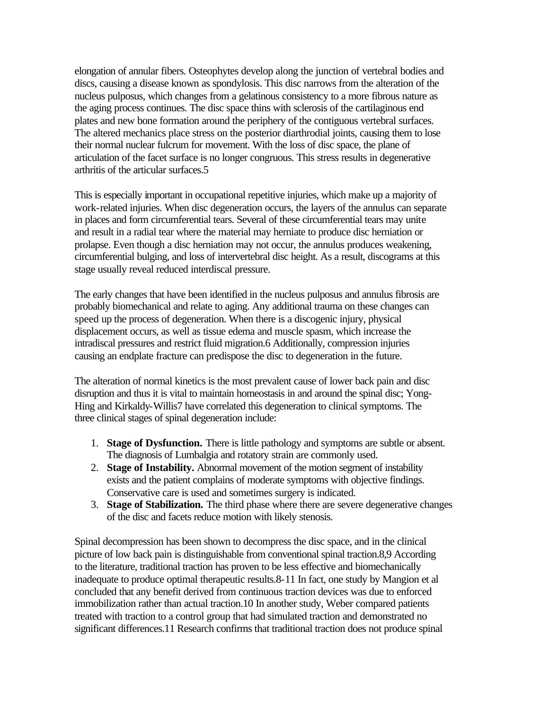elongation of annular fibers. Osteophytes develop along the junction of vertebral bodies and discs, causing a disease known as spondylosis. This disc narrows from the alteration of the nucleus pulposus, which changes from a gelatinous consistency to a more fibrous nature as the aging process continues. The disc space thins with sclerosis of the cartilaginous end plates and new bone formation around the periphery of the contiguous vertebral surfaces. The altered mechanics place stress on the posterior diarthrodial joints, causing them to lose their normal nuclear fulcrum for movement. With the loss of disc space, the plane of articulation of the facet surface is no longer congruous. This stress results in degenerative arthritis of the articular surfaces.5

This is especially important in occupational repetitive injuries, which make up a majority of work-related injuries. When disc degeneration occurs, the layers of the annulus can separate in places and form circumferential tears. Several of these circumferential tears may unite and result in a radial tear where the material may herniate to produce disc herniation or prolapse. Even though a disc herniation may not occur, the annulus produces weakening, circumferential bulging, and loss of intervertebral disc height. As a result, discograms at this stage usually reveal reduced interdiscal pressure.

The early changes that have been identified in the nucleus pulposus and annulus fibrosis are probably biomechanical and relate to aging. Any additional trauma on these changes can speed up the process of degeneration. When there is a discogenic injury, physical displacement occurs, as well as tissue edema and muscle spasm, which increase the intradiscal pressures and restrict fluid migration.6 Additionally, compression injuries causing an endplate fracture can predispose the disc to degeneration in the future.

The alteration of normal kinetics is the most prevalent cause of lower back pain and disc disruption and thus it is vital to maintain homeostasis in and around the spinal disc; Yong-Hing and Kirkaldy-Willis7 have correlated this degeneration to clinical symptoms. The three clinical stages of spinal degeneration include:

- 1. **Stage of Dysfunction.** There is little pathology and symptoms are subtle or absent. The diagnosis of Lumbalgia and rotatory strain are commonly used.
- 2. **Stage of Instability.** Abnormal movement of the motion segment of instability exists and the patient complains of moderate symptoms with objective findings. Conservative care is used and sometimes surgery is indicated.
- 3. **Stage of Stabilization.** The third phase where there are severe degenerative changes of the disc and facets reduce motion with likely stenosis.

Spinal decompression has been shown to decompress the disc space, and in the clinical picture of low back pain is distinguishable from conventional spinal traction.8,9 According to the literature, traditional traction has proven to be less effective and biomechanically inadequate to produce optimal therapeutic results.8-11 In fact, one study by Mangion et al concluded that any benefit derived from continuous traction devices was due to enforced immobilization rather than actual traction.10 In another study, Weber compared patients treated with traction to a control group that had simulated traction and demonstrated no significant differences.11 Research confirms that traditional traction does not produce spinal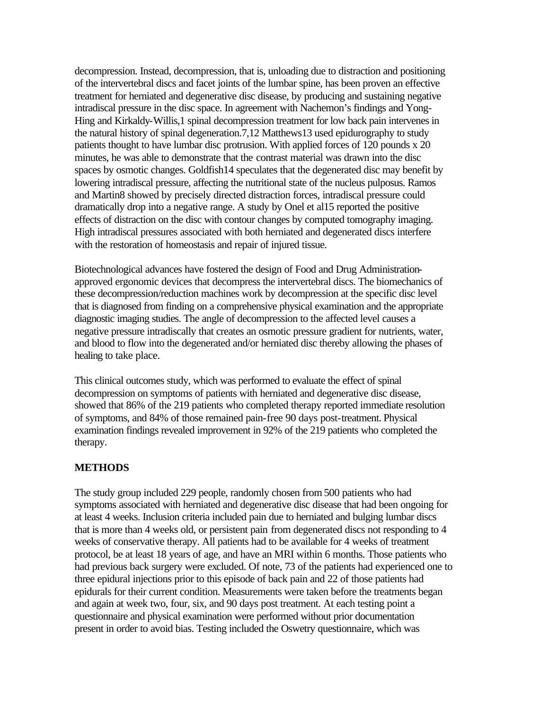decompression. Instead, decompression, that is, unloading due to distraction and positioning of the intervertebral discs and facet joints of the lumbar spine, has been proven an effective treatment for herniated and degenerative disc disease, by producing and sustaining negative intradiscal pressure in the disc space. In agreement with Nachemon's findings and Yong-Hing and Kirkaldy-Willis,1 spinal decompression treatment for low back pain intervenes in the natural history of spinal degeneration.7,12 Matthews13 used epidurography to study patients thought to have lumbar disc protrusion. With applied forces of 120 pounds x 20 minutes, he was able to demonstrate that the contrast material was drawn into the disc spaces by osmotic changes. Goldfish14 speculates that the degenerated disc may benefit by lowering intradiscal pressure, affecting the nutritional state of the nucleus pulposus. Ramos and Martin8 showed by precisely directed distraction forces, intradiscal pressure could dramatically drop into a negative range. A study by Onel et al15 reported the positive effects of distraction on the disc with contour changes by computed tomography imaging. High intradiscal pressures associated with both herniated and degenerated discs interfere with the restoration of homeostasis and repair of injured tissue.

Biotechnological advances have fostered the design of Food and Drug Administrationapproved ergonomic devices that decompress the intervertebral discs. The biomechanics of these decompression/reduction machines work by decompression at the specific disc level that is diagnosed from finding on a comprehensive physical examination and the appropriate diagnostic imaging studies. The angle of decompression to the affected level causes a negative pressure intradiscally that creates an osmotic pressure gradient for nutrients, water, and blood to flow into the degenerated and/or herniated disc thereby allowing the phases of healing to take place.

This clinical outcomes study, which was performed to evaluate the effect of spinal decompression on symptoms of patients with herniated and degenerative disc disease, showed that 86% of the 219 patients who completed therapy reported immediate resolution of symptoms, and 84% of those remained pain-free 90 days post-treatment. Physical examination findings revealed improvement in 92% of the 219 patients who completed the therapy.

#### **METHODS**

The study group included 229 people, randomly chosen from 500 patients who had symptoms associated with herniated and degenerative disc disease that had been ongoing for at least 4 weeks. Inclusion criteria included pain due to herniated and bulging lumbar discs that is more than 4 weeks old, or persistent pain from degenerated discs not responding to 4 weeks of conservative therapy. All patients had to be available for 4 weeks of treatment protocol, be at least 18 years of age, and have an MRI within 6 months. Those patients who had previous back surgery were excluded. Of note, 73 of the patients had experienced one to three epidural injections prior to this episode of back pain and 22 of those patients had epidurals for their current condition. Measurements were taken before the treatments began and again at week two, four, six, and 90 days post treatment. At each testing point a questionnaire and physical examination were performed without prior documentation present in order to avoid bias. Testing included the Oswetry questionnaire, which was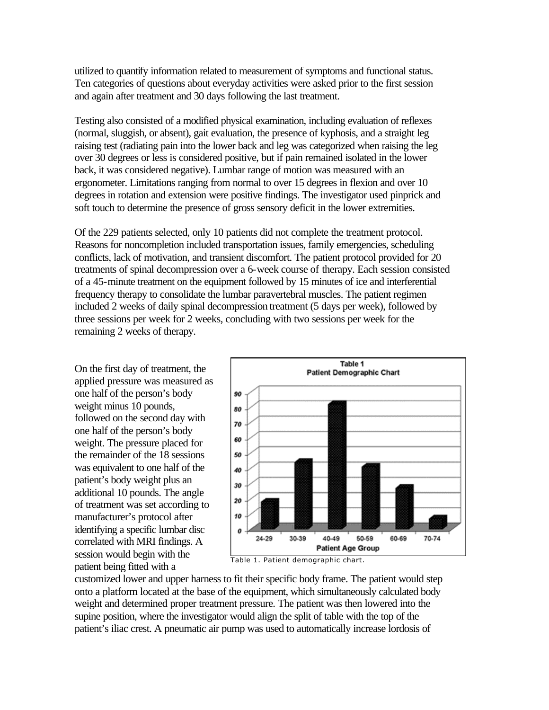utilized to quantify information related to measurement of symptoms and functional status. Ten categories of questions about everyday activities were asked prior to the first session and again after treatment and 30 days following the last treatment.

Testing also consisted of a modified physical examination, including evaluation of reflexes (normal, sluggish, or absent), gait evaluation, the presence of kyphosis, and a straight leg raising test (radiating pain into the lower back and leg was categorized when raising the leg over 30 degrees or less is considered positive, but if pain remained isolated in the lower back, it was considered negative). Lumbar range of motion was measured with an ergonometer. Limitations ranging from normal to over 15 degrees in flexion and over 10 degrees in rotation and extension were positive findings. The investigator used pinprick and soft touch to determine the presence of gross sensory deficit in the lower extremities.

Of the 229 patients selected, only 10 patients did not complete the treatment protocol. Reasons for noncompletion included transportation issues, family emergencies, scheduling conflicts, lack of motivation, and transient discomfort. The patient protocol provided for 20 treatments of spinal decompression over a 6-week course of therapy. Each session consisted of a 45-minute treatment on the equipment followed by 15 minutes of ice and interferential frequency therapy to consolidate the lumbar paravertebral muscles. The patient regimen included 2 weeks of daily spinal decompression treatment (5 days per week), followed by three sessions per week for 2 weeks, concluding with two sessions per week for the remaining 2 weeks of therapy.

On the first day of treatment, the applied pressure was measured as one half of the person's body weight minus 10 pounds, followed on the second day with one half of the person's body weight. The pressure placed for the remainder of the 18 sessions was equivalent to one half of the patient's body weight plus an additional 10 pounds. The angle of treatment was set according to manufacturer's protocol after identifying a specific lumbar disc correlated with MRI findings. A session would begin with the patient being fitted with a



customized lower and upper harness to fit their specific body frame. The patient would step onto a platform located at the base of the equipment, which simultaneously calculated body weight and determined proper treatment pressure. The patient was then lowered into the supine position, where the investigator would align the split of table with the top of the patient's iliac crest. A pneumatic air pump was used to automatically increase lordosis of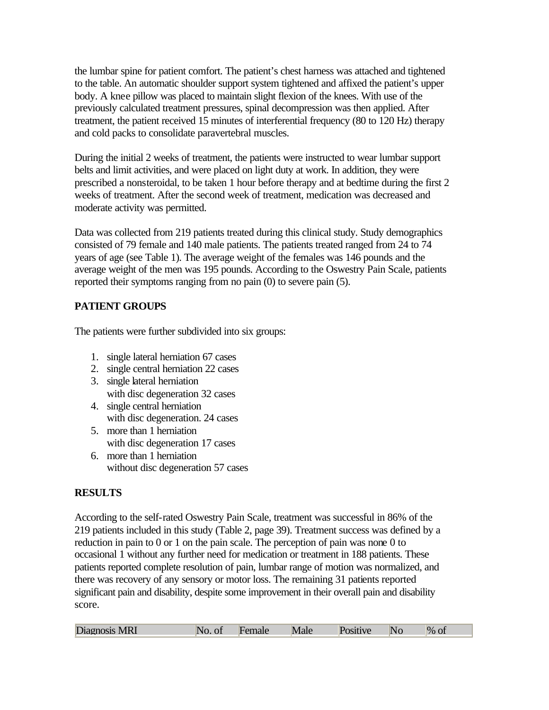the lumbar spine for patient comfort. The patient's chest harness was attached and tightened to the table. An automatic shoulder support system tightened and affixed the patient's upper body. A knee pillow was placed to maintain slight flexion of the knees. With use of the previously calculated treatment pressures, spinal decompression was then applied. After treatment, the patient received 15 minutes of interferential frequency (80 to 120 Hz) therapy and cold packs to consolidate paravertebral muscles.

During the initial 2 weeks of treatment, the patients were instructed to wear lumbar support belts and limit activities, and were placed on light duty at work. In addition, they were prescribed a nonsteroidal, to be taken 1 hour before therapy and at bedtime during the first 2 weeks of treatment. After the second week of treatment, medication was decreased and moderate activity was permitted.

Data was collected from 219 patients treated during this clinical study. Study demographics consisted of 79 female and 140 male patients. The patients treated ranged from 24 to 74 years of age (see Table 1). The average weight of the females was 146 pounds and the average weight of the men was 195 pounds. According to the Oswestry Pain Scale, patients reported their symptoms ranging from no pain (0) to severe pain (5).

# **PATIENT GROUPS**

The patients were further subdivided into six groups:

- 1. single lateral herniation 67 cases
- 2. single central herniation 22 cases
- 3. single lateral herniation with disc degeneration 32 cases
- 4. single central herniation with disc degeneration. 24 cases
- 5. more than 1 herniation with disc degeneration 17 cases
- 6. more than 1 herniation without disc degeneration 57 cases

# **RESULTS**

According to the self-rated Oswestry Pain Scale, treatment was successful in 86% of the 219 patients included in this study (Table 2, page 39). Treatment success was defined by a reduction in pain to 0 or 1 on the pain scale. The perception of pain was none 0 to occasional 1 without any further need for medication or treatment in 188 patients. These patients reported complete resolution of pain, lumbar range of motion was normalized, and there was recovery of any sensory or motor loss. The remaining 31 patients reported significant pain and disability, despite some improvement in their overall pain and disability score.

| Diagnosis MRI<br>'N.<br>Male<br>emale<br>S1UVE | $\%$ Or |
|------------------------------------------------|---------|
|------------------------------------------------|---------|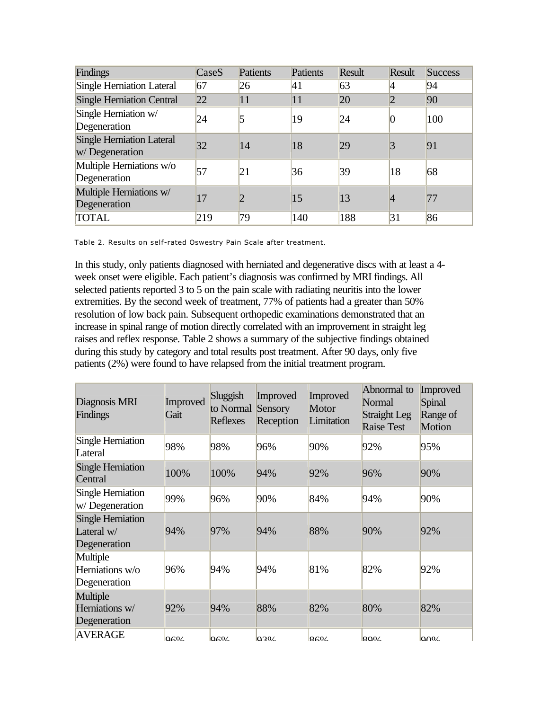| Findings                                           | CaseS | Patients | Patients | Result | <b>Result</b>   | <b>Success</b> |
|----------------------------------------------------|-------|----------|----------|--------|-----------------|----------------|
| Single Herniation Lateral                          | 67    | 26       | 41       | 63     | $\vert 4 \vert$ | 94             |
| <b>Single Herniation Central</b>                   | 22    | 11       | 11       | 20     | 2               | 90             |
| Single Herniation w/<br>Degeneration               | 24    | 5        | 19       | 24     | $\vert 0 \vert$ | 100            |
| <b>Single Herniation Lateral</b><br>w/Degeneration | 32    | 14       | 18       | 29     | 3               | 91             |
| Multiple Herniations w/o<br>Degeneration           | 57    | 21       | 36       | 39     | 18              | 68             |
| Multiple Herniations w/<br>Degeneration            | 17    |          | 15       | 13     | $\overline{4}$  | 77             |
| <b>TOTAL</b>                                       | 219   | 79       | 140      | 188    | 31              | 86             |

Table 2. Results on self-rated Oswestry Pain Scale after treatment.

In this study, only patients diagnosed with herniated and degenerative discs with at least a 4 week onset were eligible. Each patient's diagnosis was confirmed by MRI findings. All selected patients reported 3 to 5 on the pain scale with radiating neuritis into the lower extremities. By the second week of treatment, 77% of patients had a greater than 50% resolution of low back pain. Subsequent orthopedic examinations demonstrated that an increase in spinal range of motion directly correlated with an improvement in straight leg raises and reflex response. Table 2 shows a summary of the subjective findings obtained during this study by category and total results post treatment. After 90 days, only five patients (2%) were found to have relapsed from the initial treatment program.

| Diagnosis MRI<br>Findings                                | Improved<br>Gait | Sluggish<br>to Normal<br><b>Reflexes</b> | Improved<br>Sensory<br>Reception | Improved<br>Motor<br>Limitation | Abnormal to<br>Normal<br>Straight Leg<br><b>Raise Test</b> | Improved<br>Spinal<br>Range of<br>Motion |
|----------------------------------------------------------|------------------|------------------------------------------|----------------------------------|---------------------------------|------------------------------------------------------------|------------------------------------------|
| Single Herniation<br>Lateral                             | 98%              | 98%                                      | 96%                              | 90%                             | 92%                                                        | 95%                                      |
| Single Herniation<br>Central                             | 100%             | 100%                                     | 94%                              | 92%                             | 96%                                                        | 90%                                      |
| Single Herniation<br>w/Degeneration                      | 99%              | 96%                                      | 90%                              | 84%                             | 94%                                                        | 90%                                      |
| <b>Single Herniation</b><br>Lateral $w/$<br>Degeneration | 94%              | 97%                                      | 94%                              | 88%                             | 90%                                                        | 92%                                      |
| Multiple<br>Herniations w/o<br>Degeneration              | 96%              | 94%                                      | 94%                              | 81%                             | 82%                                                        | 92%                                      |
| Multiple<br>Herniations w/<br>Degeneration               | 92%              | 94%                                      | 88%                              | 82%                             | 80%                                                        | 82%                                      |
| <b>AVERAGE</b>                                           | 0604             | $\Omega$                                 | 0204                             | Q60/                            | QO0                                                        | $\Omega$                                 |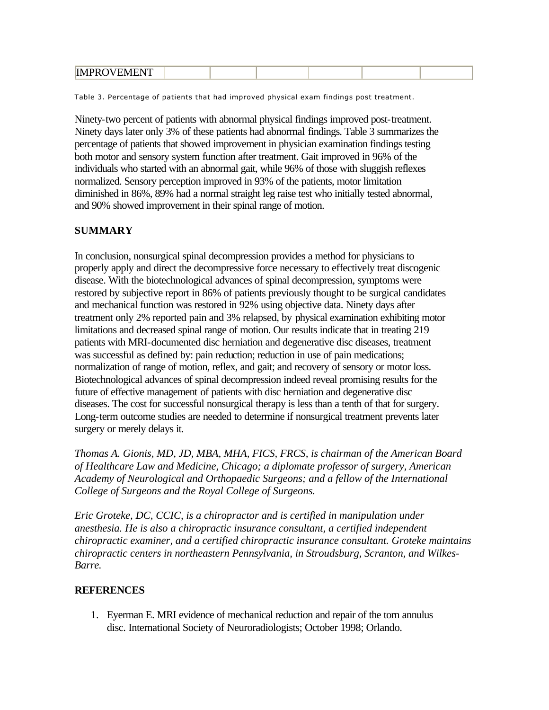|  | ID ADD OVER APME |  |  |  |  |  |  |
|--|------------------|--|--|--|--|--|--|
|--|------------------|--|--|--|--|--|--|

Table 3. Percentage of patients that had improved physical exam findings post treatment.

Ninety-two percent of patients with abnormal physical findings improved post-treatment. Ninety days later only 3% of these patients had abnormal findings. Table 3 summarizes the percentage of patients that showed improvement in physician examination findings testing both motor and sensory system function after treatment. Gait improved in 96% of the individuals who started with an abnormal gait, while 96% of those with sluggish reflexes normalized. Sensory perception improved in 93% of the patients, motor limitation diminished in 86%, 89% had a normal straight leg raise test who initially tested abnormal, and 90% showed improvement in their spinal range of motion.

### **SUMMARY**

In conclusion, nonsurgical spinal decompression provides a method for physicians to properly apply and direct the decompressive force necessary to effectively treat discogenic disease. With the biotechnological advances of spinal decompression, symptoms were restored by subjective report in 86% of patients previously thought to be surgical candidates and mechanical function was restored in 92% using objective data. Ninety days after treatment only 2% reported pain and 3% relapsed, by physical examination exhibiting motor limitations and decreased spinal range of motion. Our results indicate that in treating 219 patients with MRI-documented disc herniation and degenerative disc diseases, treatment was successful as defined by: pain reduction; reduction in use of pain medications; normalization of range of motion, reflex, and gait; and recovery of sensory or motor loss. Biotechnological advances of spinal decompression indeed reveal promising results for the future of effective management of patients with disc herniation and degenerative disc diseases. The cost for successful nonsurgical therapy is less than a tenth of that for surgery. Long-term outcome studies are needed to determine if nonsurgical treatment prevents later surgery or merely delays it.

*Thomas A. Gionis, MD, JD, MBA, MHA, FICS, FRCS, is chairman of the American Board of Healthcare Law and Medicine, Chicago; a diplomate professor of surgery, American Academy of Neurological and Orthopaedic Surgeons; and a fellow of the International College of Surgeons and the Royal College of Surgeons.*

*Eric Groteke, DC, CCIC, is a chiropractor and is certified in manipulation under anesthesia. He is also a chiropractic insurance consultant, a certified independent chiropractic examiner, and a certified chiropractic insurance consultant. Groteke maintains chiropractic centers in northeastern Pennsylvania, in Stroudsburg, Scranton, and Wilkes-Barre.*

#### **REFERENCES**

1. Eyerman E. MRI evidence of mechanical reduction and repair of the torn annulus disc. International Society of Neuroradiologists; October 1998; Orlando.